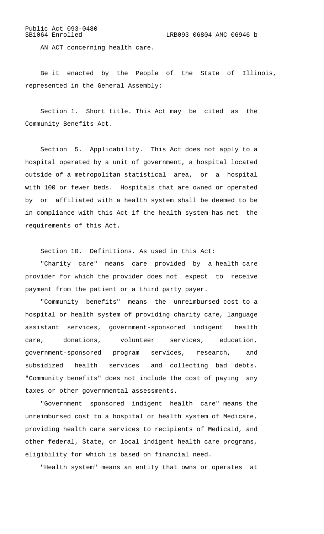## Public Act 093-0480

AN ACT concerning health care.

Be it enacted by the People of the State of Illinois, represented in the General Assembly:

Section 1. Short title. This Act may be cited as the Community Benefits Act.

Section 5. Applicability. This Act does not apply to a hospital operated by a unit of government, a hospital located outside of a metropolitan statistical area, or a hospital with 100 or fewer beds. Hospitals that are owned or operated by or affiliated with a health system shall be deemed to be in compliance with this Act if the health system has met the requirements of this Act.

Section 10. Definitions. As used in this Act:

"Charity care" means care provided by a health care provider for which the provider does not expect to receive payment from the patient or a third party payer.

"Community benefits" means the unreimbursed cost to a hospital or health system of providing charity care, language assistant services, government-sponsored indigent health care, donations, volunteer services, education, government-sponsored program services, research, and subsidized health services and collecting bad debts. "Community benefits" does not include the cost of paying any taxes or other governmental assessments.

"Government sponsored indigent health care" means the unreimbursed cost to a hospital or health system of Medicare, providing health care services to recipients of Medicaid, and other federal, State, or local indigent health care programs, eligibility for which is based on financial need.

"Health system" means an entity that owns or operates at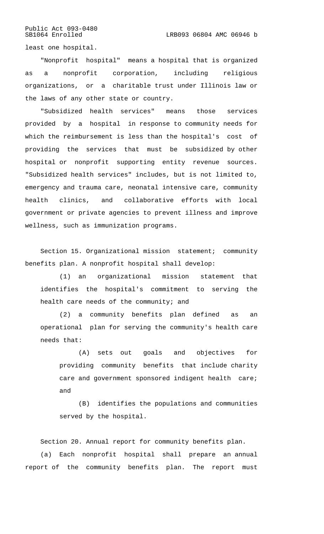Public Act 093-0480<br>SB1064 Enrolled

least one hospital.

"Nonprofit hospital" means a hospital that is organized as a nonprofit corporation, including religious organizations, or a charitable trust under Illinois law or the laws of any other state or country.

"Subsidized health services" means those services provided by a hospital in response to community needs for which the reimbursement is less than the hospital's cost of providing the services that must be subsidized by other hospital or nonprofit supporting entity revenue sources. "Subsidized health services" includes, but is not limited to, emergency and trauma care, neonatal intensive care, community health clinics, and collaborative efforts with local government or private agencies to prevent illness and improve wellness, such as immunization programs.

Section 15. Organizational mission statement; community benefits plan. A nonprofit hospital shall develop:

(1) an organizational mission statement that identifies the hospital's commitment to serving the health care needs of the community; and

(2) a community benefits plan defined as an operational plan for serving the community's health care needs that:

(A) sets out goals and objectives for providing community benefits that include charity care and government sponsored indigent health care; and

(B) identifies the populations and communities served by the hospital.

Section 20. Annual report for community benefits plan. (a) Each nonprofit hospital shall prepare an annual report of the community benefits plan. The report must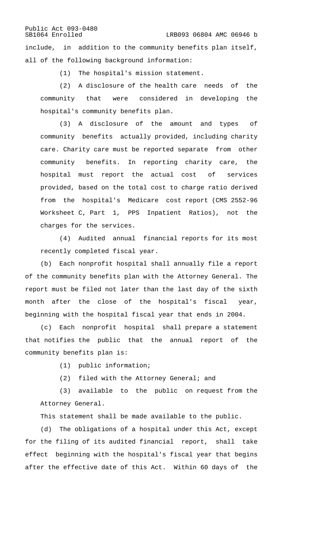Public Act 093-0480<br>SB1064 Enrolled LRB093 06804 AMC 06946 b include, in addition to the community benefits plan itself, all of the following background information:

(1) The hospital's mission statement.

(2) A disclosure of the health care needs of the community that were considered in developing the hospital's community benefits plan.

(3) A disclosure of the amount and types of community benefits actually provided, including charity care. Charity care must be reported separate from other community benefits. In reporting charity care, the hospital must report the actual cost of services provided, based on the total cost to charge ratio derived from the hospital's Medicare cost report (CMS 2552-96 Worksheet C, Part 1, PPS Inpatient Ratios), not the charges for the services.

(4) Audited annual financial reports for its most recently completed fiscal year.

(b) Each nonprofit hospital shall annually file a report of the community benefits plan with the Attorney General. The report must be filed not later than the last day of the sixth month after the close of the hospital's fiscal year, beginning with the hospital fiscal year that ends in 2004.

(c) Each nonprofit hospital shall prepare a statement that notifies the public that the annual report of the community benefits plan is:

- (1) public information;
- (2) filed with the Attorney General; and

(3) available to the public on request from the Attorney General.

This statement shall be made available to the public.

(d) The obligations of a hospital under this Act, except for the filing of its audited financial report, shall take effect beginning with the hospital's fiscal year that begins after the effective date of this Act. Within 60 days of the